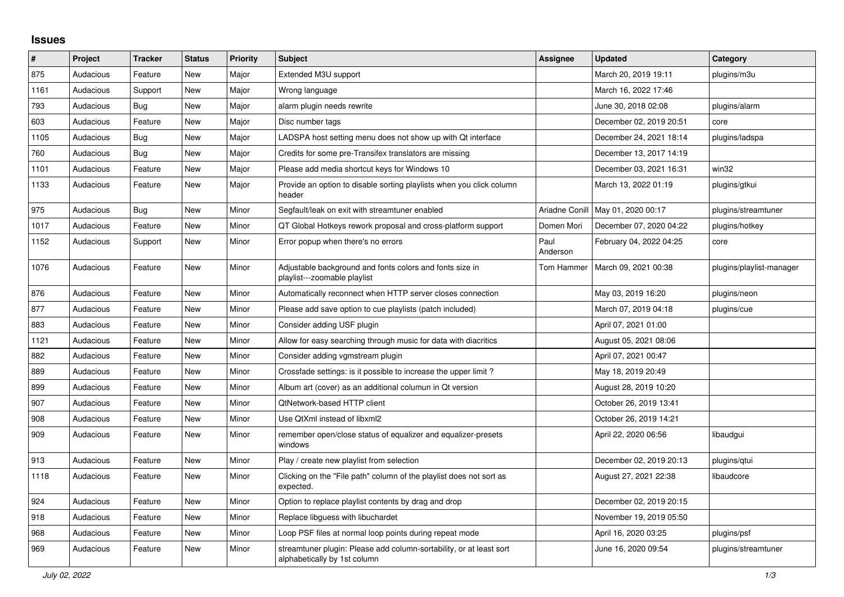## **Issues**

| ∦    | Project   | <b>Tracker</b> | <b>Status</b> | <b>Priority</b> | <b>Subject</b>                                                                                      | Assignee         | <b>Updated</b>                      | Category                 |
|------|-----------|----------------|---------------|-----------------|-----------------------------------------------------------------------------------------------------|------------------|-------------------------------------|--------------------------|
| 875  | Audacious | Feature        | <b>New</b>    | Major           | Extended M3U support                                                                                |                  | March 20, 2019 19:11                | plugins/m3u              |
| 1161 | Audacious | Support        | <b>New</b>    | Major           | Wrong language                                                                                      |                  | March 16, 2022 17:46                |                          |
| 793  | Audacious | Bug            | New           | Major           | alarm plugin needs rewrite                                                                          |                  | June 30, 2018 02:08                 | plugins/alarm            |
| 603  | Audacious | Feature        | <b>New</b>    | Major           | Disc number tags                                                                                    |                  | December 02, 2019 20:51             | core                     |
| 1105 | Audacious | Bug            | <b>New</b>    | Major           | LADSPA host setting menu does not show up with Qt interface                                         |                  | December 24, 2021 18:14             | plugins/ladspa           |
| 760  | Audacious | <b>Bug</b>     | <b>New</b>    | Major           | Credits for some pre-Transifex translators are missing                                              |                  | December 13, 2017 14:19             |                          |
| 1101 | Audacious | Feature        | <b>New</b>    | Major           | Please add media shortcut keys for Windows 10                                                       |                  | December 03, 2021 16:31             | win32                    |
| 1133 | Audacious | Feature        | New           | Major           | Provide an option to disable sorting playlists when you click column<br>header                      |                  | March 13, 2022 01:19                | plugins/gtkui            |
| 975  | Audacious | Bug            | <b>New</b>    | Minor           | Segfault/leak on exit with streamtuner enabled                                                      |                  | Ariadne Conill   May 01, 2020 00:17 | plugins/streamtuner      |
| 1017 | Audacious | Feature        | <b>New</b>    | Minor           | QT Global Hotkeys rework proposal and cross-platform support                                        | Domen Mori       | December 07, 2020 04:22             | plugins/hotkey           |
| 1152 | Audacious | Support        | <b>New</b>    | Minor           | Error popup when there's no errors                                                                  | Paul<br>Anderson | February 04, 2022 04:25             | core                     |
| 1076 | Audacious | Feature        | New           | Minor           | Adjustable background and fonts colors and fonts size in<br>playlist---zoomable playlist            | Tom Hammer       | March 09, 2021 00:38                | plugins/playlist-manager |
| 876  | Audacious | Feature        | <b>New</b>    | Minor           | Automatically reconnect when HTTP server closes connection                                          |                  | May 03, 2019 16:20                  | plugins/neon             |
| 877  | Audacious | Feature        | <b>New</b>    | Minor           | Please add save option to cue playlists (patch included)                                            |                  | March 07, 2019 04:18                | plugins/cue              |
| 883  | Audacious | Feature        | New           | Minor           | Consider adding USF plugin                                                                          |                  | April 07, 2021 01:00                |                          |
| 1121 | Audacious | Feature        | New           | Minor           | Allow for easy searching through music for data with diacritics                                     |                  | August 05, 2021 08:06               |                          |
| 882  | Audacious | Feature        | <b>New</b>    | Minor           | Consider adding vgmstream plugin                                                                    |                  | April 07, 2021 00:47                |                          |
| 889  | Audacious | Feature        | <b>New</b>    | Minor           | Crossfade settings: is it possible to increase the upper limit?                                     |                  | May 18, 2019 20:49                  |                          |
| 899  | Audacious | Feature        | <b>New</b>    | Minor           | Album art (cover) as an additional columun in Qt version                                            |                  | August 28, 2019 10:20               |                          |
| 907  | Audacious | Feature        | <b>New</b>    | Minor           | QtNetwork-based HTTP client                                                                         |                  | October 26, 2019 13:41              |                          |
| 908  | Audacious | Feature        | <b>New</b>    | Minor           | Use QtXml instead of libxml2                                                                        |                  | October 26, 2019 14:21              |                          |
| 909  | Audacious | Feature        | <b>New</b>    | Minor           | remember open/close status of equalizer and equalizer-presets<br>windows                            |                  | April 22, 2020 06:56                | libaudgui                |
| 913  | Audacious | Feature        | <b>New</b>    | Minor           | Play / create new playlist from selection                                                           |                  | December 02, 2019 20:13             | plugins/gtui             |
| 1118 | Audacious | Feature        | <b>New</b>    | Minor           | Clicking on the "File path" column of the playlist does not sort as<br>expected.                    |                  | August 27, 2021 22:38               | libaudcore               |
| 924  | Audacious | Feature        | <b>New</b>    | Minor           | Option to replace playlist contents by drag and drop                                                |                  | December 02, 2019 20:15             |                          |
| 918  | Audacious | Feature        | New           | Minor           | Replace libguess with libuchardet                                                                   |                  | November 19, 2019 05:50             |                          |
| 968  | Audacious | Feature        | New           | Minor           | Loop PSF files at normal loop points during repeat mode                                             |                  | April 16, 2020 03:25                | plugins/psf              |
| 969  | Audacious | Feature        | <b>New</b>    | Minor           | streamtuner plugin: Please add column-sortability, or at least sort<br>alphabetically by 1st column |                  | June 16, 2020 09:54                 | plugins/streamtuner      |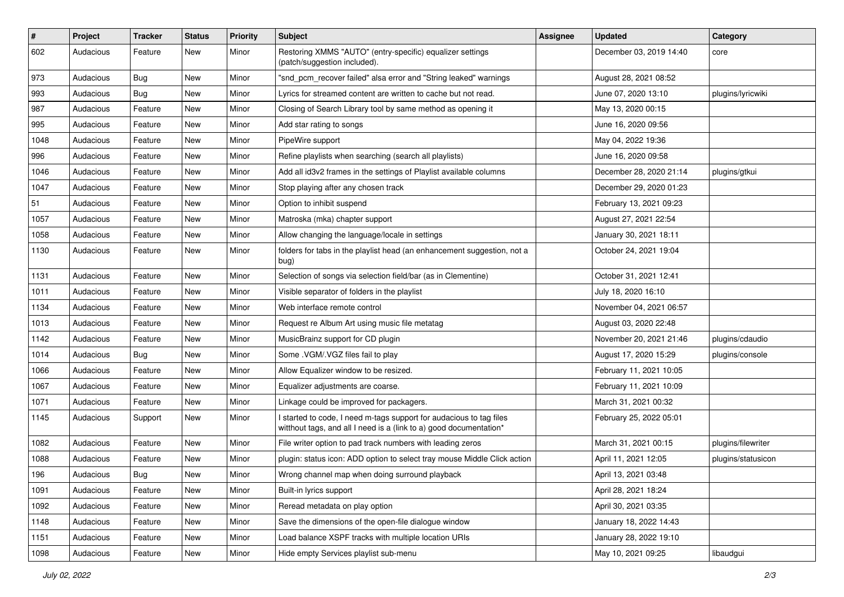| $\#$ | Project   | <b>Tracker</b> | <b>Status</b> | <b>Priority</b> | Subject                                                                                                                                   | <b>Assignee</b> | <b>Updated</b>          | Category           |
|------|-----------|----------------|---------------|-----------------|-------------------------------------------------------------------------------------------------------------------------------------------|-----------------|-------------------------|--------------------|
| 602  | Audacious | Feature        | New           | Minor           | Restoring XMMS "AUTO" (entry-specific) equalizer settings<br>(patch/suggestion included).                                                 |                 | December 03, 2019 14:40 | core               |
| 973  | Audacious | Bug            | New           | Minor           | "snd pcm recover failed" alsa error and "String leaked" warnings                                                                          |                 | August 28, 2021 08:52   |                    |
| 993  | Audacious | Bug            | New           | Minor           | Lyrics for streamed content are written to cache but not read.                                                                            |                 | June 07, 2020 13:10     | plugins/lyricwiki  |
| 987  | Audacious | Feature        | New           | Minor           | Closing of Search Library tool by same method as opening it                                                                               |                 | May 13, 2020 00:15      |                    |
| 995  | Audacious | Feature        | New           | Minor           | Add star rating to songs                                                                                                                  |                 | June 16, 2020 09:56     |                    |
| 1048 | Audacious | Feature        | New           | Minor           | PipeWire support                                                                                                                          |                 | May 04, 2022 19:36      |                    |
| 996  | Audacious | Feature        | New           | Minor           | Refine playlists when searching (search all playlists)                                                                                    |                 | June 16, 2020 09:58     |                    |
| 1046 | Audacious | Feature        | New           | Minor           | Add all id3v2 frames in the settings of Playlist available columns                                                                        |                 | December 28, 2020 21:14 | plugins/gtkui      |
| 1047 | Audacious | Feature        | <b>New</b>    | Minor           | Stop playing after any chosen track                                                                                                       |                 | December 29, 2020 01:23 |                    |
| 51   | Audacious | Feature        | New           | Minor           | Option to inhibit suspend                                                                                                                 |                 | February 13, 2021 09:23 |                    |
| 1057 | Audacious | Feature        | New           | Minor           | Matroska (mka) chapter support                                                                                                            |                 | August 27, 2021 22:54   |                    |
| 1058 | Audacious | Feature        | New           | Minor           | Allow changing the language/locale in settings                                                                                            |                 | January 30, 2021 18:11  |                    |
| 1130 | Audacious | Feature        | New           | Minor           | folders for tabs in the playlist head (an enhancement suggestion, not a<br>bug)                                                           |                 | October 24, 2021 19:04  |                    |
| 1131 | Audacious | Feature        | New           | Minor           | Selection of songs via selection field/bar (as in Clementine)                                                                             |                 | October 31, 2021 12:41  |                    |
| 1011 | Audacious | Feature        | New           | Minor           | Visible separator of folders in the playlist                                                                                              |                 | July 18, 2020 16:10     |                    |
| 1134 | Audacious | Feature        | New           | Minor           | Web interface remote control                                                                                                              |                 | November 04, 2021 06:57 |                    |
| 1013 | Audacious | Feature        | New           | Minor           | Request re Album Art using music file metatag                                                                                             |                 | August 03, 2020 22:48   |                    |
| 1142 | Audacious | Feature        | New           | Minor           | MusicBrainz support for CD plugin                                                                                                         |                 | November 20, 2021 21:46 | plugins/cdaudio    |
| 1014 | Audacious | Bug            | New           | Minor           | Some .VGM/.VGZ files fail to play                                                                                                         |                 | August 17, 2020 15:29   | plugins/console    |
| 1066 | Audacious | Feature        | New           | Minor           | Allow Equalizer window to be resized.                                                                                                     |                 | February 11, 2021 10:05 |                    |
| 1067 | Audacious | Feature        | New           | Minor           | Equalizer adjustments are coarse.                                                                                                         |                 | February 11, 2021 10:09 |                    |
| 1071 | Audacious | Feature        | New           | Minor           | Linkage could be improved for packagers.                                                                                                  |                 | March 31, 2021 00:32    |                    |
| 1145 | Audacious | Support        | New           | Minor           | I started to code, I need m-tags support for audacious to tag files<br>witthout tags, and all I need is a (link to a) good documentation* |                 | February 25, 2022 05:01 |                    |
| 1082 | Audacious | Feature        | New           | Minor           | File writer option to pad track numbers with leading zeros                                                                                |                 | March 31, 2021 00:15    | plugins/filewriter |
| 1088 | Audacious | Feature        | New           | Minor           | plugin: status icon: ADD option to select tray mouse Middle Click action                                                                  |                 | April 11, 2021 12:05    | plugins/statusicon |
| 196  | Audacious | Bug            | New           | Minor           | Wrong channel map when doing surround playback                                                                                            |                 | April 13, 2021 03:48    |                    |
| 1091 | Audacious | Feature        | New           | Minor           | Built-in lyrics support                                                                                                                   |                 | April 28, 2021 18:24    |                    |
| 1092 | Audacious | Feature        | New           | Minor           | Reread metadata on play option                                                                                                            |                 | April 30, 2021 03:35    |                    |
| 1148 | Audacious | Feature        | New           | Minor           | Save the dimensions of the open-file dialogue window                                                                                      |                 | January 18, 2022 14:43  |                    |
| 1151 | Audacious | Feature        | New           | Minor           | Load balance XSPF tracks with multiple location URIs                                                                                      |                 | January 28, 2022 19:10  |                    |
| 1098 | Audacious | Feature        | New           | Minor           | Hide empty Services playlist sub-menu                                                                                                     |                 | May 10, 2021 09:25      | libaudgui          |